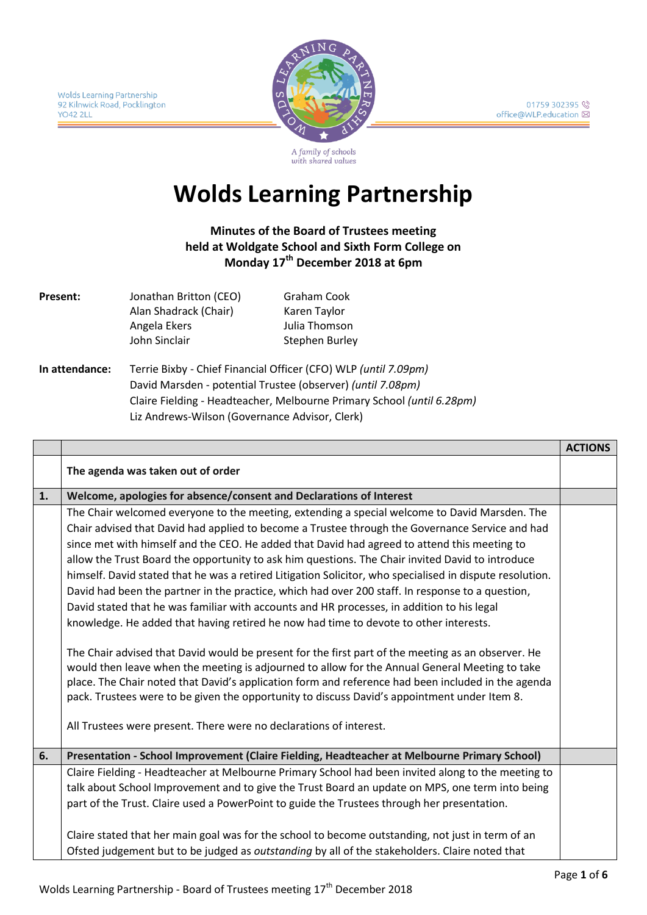

A family of schools with shared values

# **Wolds Learning Partnership**

**Minutes of the Board of Trustees meeting held at Woldgate School and Sixth Form College on Monday 17th December 2018 at 6pm**

| Present:       | Jonathan Britton (CEO)                              | Graham Cook    |
|----------------|-----------------------------------------------------|----------------|
|                | Alan Shadrack (Chair)                               | Karen Taylor   |
|                | Angela Ekers                                        | Julia Thomson  |
|                | John Sinclair                                       | Stephen Burley |
| In attendance: | Terrie Bixby - Chief Financial Officer (CFO) WLP (u |                |

**In attendance:** Terrie Bixby - Chief Financial Officer (CFO) WLP *(until 7.09pm)* David Marsden - potential Trustee (observer) *(until 7.08pm)* Claire Fielding - Headteacher, Melbourne Primary School *(until 6.28pm)* Liz Andrews-Wilson (Governance Advisor, Clerk)

|    |                                                                                                                                                                                                    | <b>ACTIONS</b> |
|----|----------------------------------------------------------------------------------------------------------------------------------------------------------------------------------------------------|----------------|
|    | The agenda was taken out of order                                                                                                                                                                  |                |
| 1. | Welcome, apologies for absence/consent and Declarations of Interest                                                                                                                                |                |
|    | The Chair welcomed everyone to the meeting, extending a special welcome to David Marsden. The                                                                                                      |                |
|    | Chair advised that David had applied to become a Trustee through the Governance Service and had                                                                                                    |                |
|    | since met with himself and the CEO. He added that David had agreed to attend this meeting to                                                                                                       |                |
|    | allow the Trust Board the opportunity to ask him questions. The Chair invited David to introduce                                                                                                   |                |
|    | himself. David stated that he was a retired Litigation Solicitor, who specialised in dispute resolution.                                                                                           |                |
|    | David had been the partner in the practice, which had over 200 staff. In response to a question,                                                                                                   |                |
|    | David stated that he was familiar with accounts and HR processes, in addition to his legal                                                                                                         |                |
|    | knowledge. He added that having retired he now had time to devote to other interests.                                                                                                              |                |
|    |                                                                                                                                                                                                    |                |
|    | The Chair advised that David would be present for the first part of the meeting as an observer. He                                                                                                 |                |
|    | would then leave when the meeting is adjourned to allow for the Annual General Meeting to take                                                                                                     |                |
|    | place. The Chair noted that David's application form and reference had been included in the agenda<br>pack. Trustees were to be given the opportunity to discuss David's appointment under Item 8. |                |
|    |                                                                                                                                                                                                    |                |
|    | All Trustees were present. There were no declarations of interest.                                                                                                                                 |                |
|    |                                                                                                                                                                                                    |                |
| 6. | Presentation - School Improvement (Claire Fielding, Headteacher at Melbourne Primary School)                                                                                                       |                |
|    | Claire Fielding - Headteacher at Melbourne Primary School had been invited along to the meeting to                                                                                                 |                |
|    | talk about School Improvement and to give the Trust Board an update on MPS, one term into being                                                                                                    |                |
|    | part of the Trust. Claire used a PowerPoint to guide the Trustees through her presentation.                                                                                                        |                |
|    |                                                                                                                                                                                                    |                |
|    | Claire stated that her main goal was for the school to become outstanding, not just in term of an                                                                                                  |                |
|    | Ofsted judgement but to be judged as outstanding by all of the stakeholders. Claire noted that                                                                                                     |                |
|    |                                                                                                                                                                                                    |                |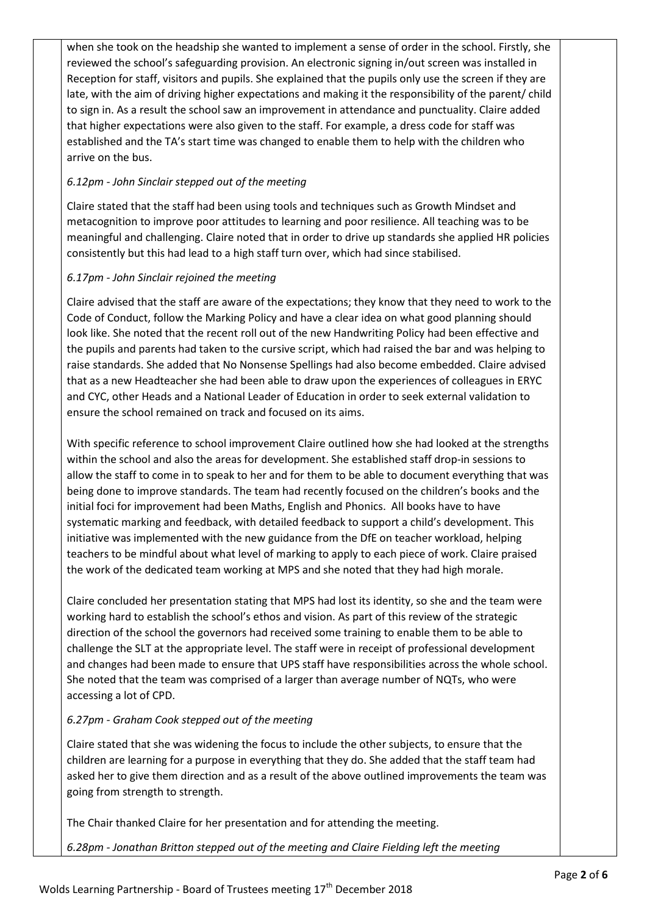when she took on the headship she wanted to implement a sense of order in the school. Firstly, she reviewed the school's safeguarding provision. An electronic signing in/out screen was installed in Reception for staff, visitors and pupils. She explained that the pupils only use the screen if they are late, with the aim of driving higher expectations and making it the responsibility of the parent/ child to sign in. As a result the school saw an improvement in attendance and punctuality. Claire added that higher expectations were also given to the staff. For example, a dress code for staff was established and the TA's start time was changed to enable them to help with the children who arrive on the bus.

#### *6.12pm - John Sinclair stepped out of the meeting*

Claire stated that the staff had been using tools and techniques such as Growth Mindset and metacognition to improve poor attitudes to learning and poor resilience. All teaching was to be meaningful and challenging. Claire noted that in order to drive up standards she applied HR policies consistently but this had lead to a high staff turn over, which had since stabilised.

#### *6.17pm - John Sinclair rejoined the meeting*

Claire advised that the staff are aware of the expectations; they know that they need to work to the Code of Conduct, follow the Marking Policy and have a clear idea on what good planning should look like. She noted that the recent roll out of the new Handwriting Policy had been effective and the pupils and parents had taken to the cursive script, which had raised the bar and was helping to raise standards. She added that No Nonsense Spellings had also become embedded. Claire advised that as a new Headteacher she had been able to draw upon the experiences of colleagues in ERYC and CYC, other Heads and a National Leader of Education in order to seek external validation to ensure the school remained on track and focused on its aims.

With specific reference to school improvement Claire outlined how she had looked at the strengths within the school and also the areas for development. She established staff drop-in sessions to allow the staff to come in to speak to her and for them to be able to document everything that was being done to improve standards. The team had recently focused on the children's books and the initial foci for improvement had been Maths, English and Phonics. All books have to have systematic marking and feedback, with detailed feedback to support a child's development. This initiative was implemented with the new guidance from the DfE on teacher workload, helping teachers to be mindful about what level of marking to apply to each piece of work. Claire praised the work of the dedicated team working at MPS and she noted that they had high morale.

Claire concluded her presentation stating that MPS had lost its identity, so she and the team were working hard to establish the school's ethos and vision. As part of this review of the strategic direction of the school the governors had received some training to enable them to be able to challenge the SLT at the appropriate level. The staff were in receipt of professional development and changes had been made to ensure that UPS staff have responsibilities across the whole school. She noted that the team was comprised of a larger than average number of NQTs, who were accessing a lot of CPD.

### *6.27pm - Graham Cook stepped out of the meeting*

Claire stated that she was widening the focus to include the other subjects, to ensure that the children are learning for a purpose in everything that they do. She added that the staff team had asked her to give them direction and as a result of the above outlined improvements the team was going from strength to strength.

The Chair thanked Claire for her presentation and for attending the meeting.

*6.28pm - Jonathan Britton stepped out of the meeting and Claire Fielding left the meeting*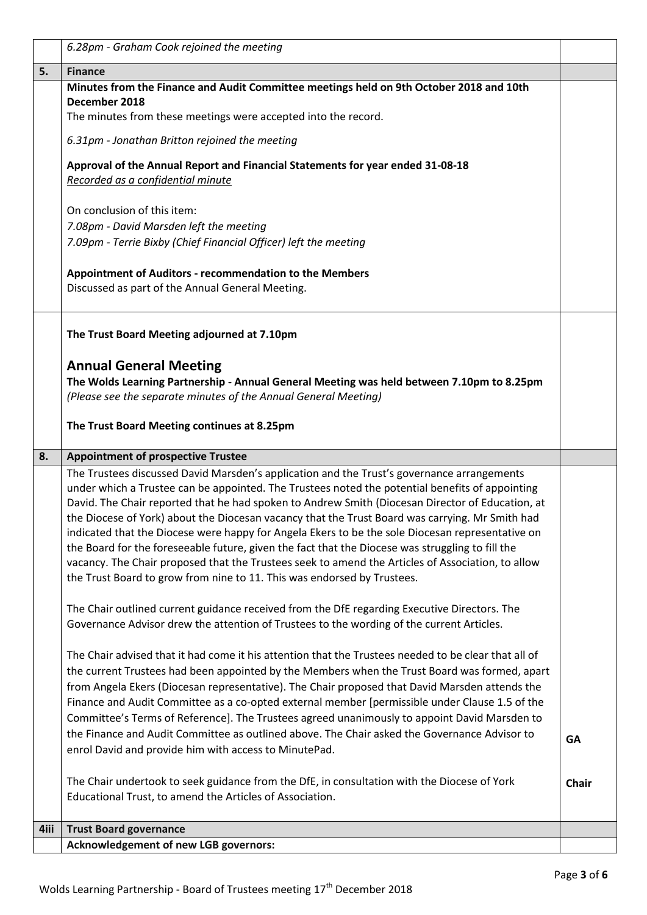|      | 6.28pm - Graham Cook rejoined the meeting                                                                                                                                                           |              |
|------|-----------------------------------------------------------------------------------------------------------------------------------------------------------------------------------------------------|--------------|
| 5.   | <b>Finance</b>                                                                                                                                                                                      |              |
|      | Minutes from the Finance and Audit Committee meetings held on 9th October 2018 and 10th                                                                                                             |              |
|      | December 2018<br>The minutes from these meetings were accepted into the record.                                                                                                                     |              |
|      |                                                                                                                                                                                                     |              |
|      | 6.31pm - Jonathan Britton rejoined the meeting                                                                                                                                                      |              |
|      | Approval of the Annual Report and Financial Statements for year ended 31-08-18                                                                                                                      |              |
|      | Recorded as a confidential minute                                                                                                                                                                   |              |
|      | On conclusion of this item:                                                                                                                                                                         |              |
|      | 7.08pm - David Marsden left the meeting                                                                                                                                                             |              |
|      | 7.09pm - Terrie Bixby (Chief Financial Officer) left the meeting                                                                                                                                    |              |
|      |                                                                                                                                                                                                     |              |
|      | Appointment of Auditors - recommendation to the Members                                                                                                                                             |              |
|      | Discussed as part of the Annual General Meeting.                                                                                                                                                    |              |
|      |                                                                                                                                                                                                     |              |
|      | The Trust Board Meeting adjourned at 7.10pm                                                                                                                                                         |              |
|      |                                                                                                                                                                                                     |              |
|      | <b>Annual General Meeting</b>                                                                                                                                                                       |              |
|      | The Wolds Learning Partnership - Annual General Meeting was held between 7.10pm to 8.25pm                                                                                                           |              |
|      | (Please see the separate minutes of the Annual General Meeting)                                                                                                                                     |              |
|      | The Trust Board Meeting continues at 8.25pm                                                                                                                                                         |              |
|      |                                                                                                                                                                                                     |              |
|      | <b>Appointment of prospective Trustee</b>                                                                                                                                                           |              |
| 8.   |                                                                                                                                                                                                     |              |
|      | The Trustees discussed David Marsden's application and the Trust's governance arrangements                                                                                                          |              |
|      | under which a Trustee can be appointed. The Trustees noted the potential benefits of appointing                                                                                                     |              |
|      | David. The Chair reported that he had spoken to Andrew Smith (Diocesan Director of Education, at                                                                                                    |              |
|      | the Diocese of York) about the Diocesan vacancy that the Trust Board was carrying. Mr Smith had<br>indicated that the Diocese were happy for Angela Ekers to be the sole Diocesan representative on |              |
|      | the Board for the foreseeable future, given the fact that the Diocese was struggling to fill the                                                                                                    |              |
|      | vacancy. The Chair proposed that the Trustees seek to amend the Articles of Association, to allow                                                                                                   |              |
|      | the Trust Board to grow from nine to 11. This was endorsed by Trustees.                                                                                                                             |              |
|      |                                                                                                                                                                                                     |              |
|      | The Chair outlined current guidance received from the DfE regarding Executive Directors. The                                                                                                        |              |
|      | Governance Advisor drew the attention of Trustees to the wording of the current Articles.                                                                                                           |              |
|      | The Chair advised that it had come it his attention that the Trustees needed to be clear that all of                                                                                                |              |
|      | the current Trustees had been appointed by the Members when the Trust Board was formed, apart                                                                                                       |              |
|      | from Angela Ekers (Diocesan representative). The Chair proposed that David Marsden attends the                                                                                                      |              |
|      | Finance and Audit Committee as a co-opted external member [permissible under Clause 1.5 of the                                                                                                      |              |
|      | Committee's Terms of Reference]. The Trustees agreed unanimously to appoint David Marsden to                                                                                                        |              |
|      | the Finance and Audit Committee as outlined above. The Chair asked the Governance Advisor to                                                                                                        | <b>GA</b>    |
|      | enrol David and provide him with access to MinutePad.                                                                                                                                               |              |
|      | The Chair undertook to seek guidance from the DfE, in consultation with the Diocese of York                                                                                                         | <b>Chair</b> |
|      | Educational Trust, to amend the Articles of Association.                                                                                                                                            |              |
|      |                                                                                                                                                                                                     |              |
| 4iii | <b>Trust Board governance</b><br><b>Acknowledgement of new LGB governors:</b>                                                                                                                       |              |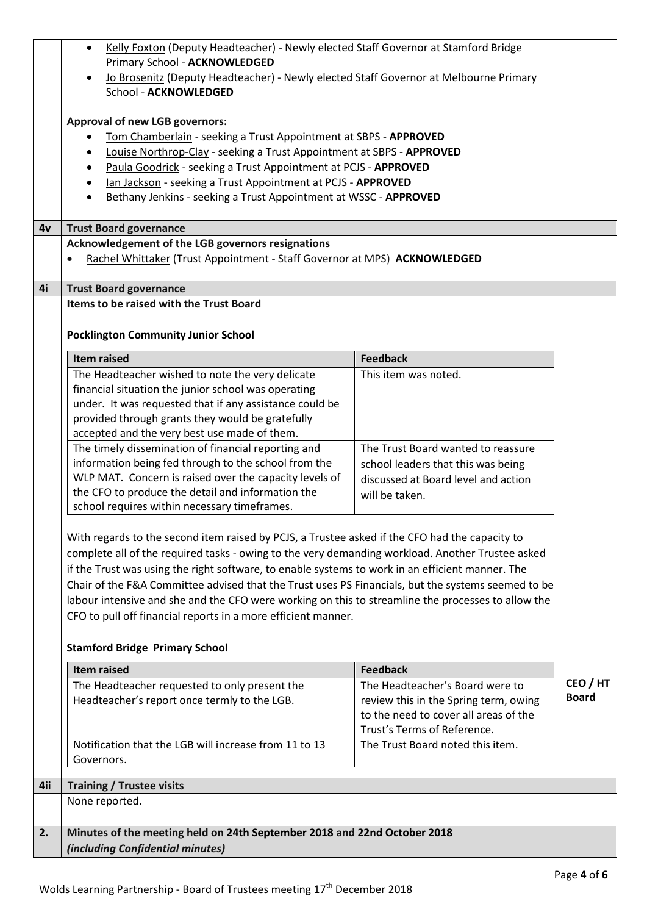|     | Kelly Foxton (Deputy Headteacher) - Newly elected Staff Governor at Stamford Bridge<br>$\bullet$<br>Primary School - ACKNOWLEDGED                                                                                                                                                                                                                                                                                                                                                                                                                                                   |                                                                                                                                                  |              |
|-----|-------------------------------------------------------------------------------------------------------------------------------------------------------------------------------------------------------------------------------------------------------------------------------------------------------------------------------------------------------------------------------------------------------------------------------------------------------------------------------------------------------------------------------------------------------------------------------------|--------------------------------------------------------------------------------------------------------------------------------------------------|--------------|
|     | Jo Brosenitz (Deputy Headteacher) - Newly elected Staff Governor at Melbourne Primary<br>School - ACKNOWLEDGED                                                                                                                                                                                                                                                                                                                                                                                                                                                                      |                                                                                                                                                  |              |
|     | <b>Approval of new LGB governors:</b><br>Tom Chamberlain - seeking a Trust Appointment at SBPS - APPROVED<br>Louise Northrop-Clay - seeking a Trust Appointment at SBPS - APPROVED<br>٠<br>Paula Goodrick - seeking a Trust Appointment at PCJS - APPROVED<br>$\bullet$<br>lan Jackson - seeking a Trust Appointment at PCJS - APPROVED<br>Bethany Jenkins - seeking a Trust Appointment at WSSC - APPROVED<br>$\bullet$                                                                                                                                                            |                                                                                                                                                  |              |
| 4v  | <b>Trust Board governance</b>                                                                                                                                                                                                                                                                                                                                                                                                                                                                                                                                                       |                                                                                                                                                  |              |
|     | Acknowledgement of the LGB governors resignations<br>Rachel Whittaker (Trust Appointment - Staff Governor at MPS) ACKNOWLEDGED                                                                                                                                                                                                                                                                                                                                                                                                                                                      |                                                                                                                                                  |              |
| 4i  | <b>Trust Board governance</b>                                                                                                                                                                                                                                                                                                                                                                                                                                                                                                                                                       |                                                                                                                                                  |              |
|     | Items to be raised with the Trust Board<br><b>Pocklington Community Junior School</b>                                                                                                                                                                                                                                                                                                                                                                                                                                                                                               |                                                                                                                                                  |              |
|     | <b>Item raised</b>                                                                                                                                                                                                                                                                                                                                                                                                                                                                                                                                                                  | <b>Feedback</b>                                                                                                                                  |              |
|     | The Headteacher wished to note the very delicate<br>financial situation the junior school was operating<br>under. It was requested that if any assistance could be<br>provided through grants they would be gratefully<br>accepted and the very best use made of them.                                                                                                                                                                                                                                                                                                              | This item was noted.                                                                                                                             |              |
|     | The timely dissemination of financial reporting and<br>information being fed through to the school from the<br>WLP MAT. Concern is raised over the capacity levels of<br>the CFO to produce the detail and information the<br>school requires within necessary timeframes.                                                                                                                                                                                                                                                                                                          | The Trust Board wanted to reassure<br>school leaders that this was being<br>discussed at Board level and action<br>will be taken.                |              |
|     | With regards to the second item raised by PCJS, a Trustee asked if the CFO had the capacity to<br>complete all of the required tasks - owing to the very demanding workload. Another Trustee asked<br>if the Trust was using the right software, to enable systems to work in an efficient manner. The<br>Chair of the F&A Committee advised that the Trust uses PS Financials, but the systems seemed to be<br>labour intensive and she and the CFO were working on this to streamline the processes to allow the<br>CFO to pull off financial reports in a more efficient manner. |                                                                                                                                                  |              |
|     | <b>Stamford Bridge Primary School</b>                                                                                                                                                                                                                                                                                                                                                                                                                                                                                                                                               |                                                                                                                                                  |              |
|     | <b>Item raised</b>                                                                                                                                                                                                                                                                                                                                                                                                                                                                                                                                                                  | <b>Feedback</b>                                                                                                                                  | CEO / HT     |
|     | The Headteacher requested to only present the<br>Headteacher's report once termly to the LGB.                                                                                                                                                                                                                                                                                                                                                                                                                                                                                       | The Headteacher's Board were to<br>review this in the Spring term, owing<br>to the need to cover all areas of the<br>Trust's Terms of Reference. | <b>Board</b> |
|     | Notification that the LGB will increase from 11 to 13<br>Governors.                                                                                                                                                                                                                                                                                                                                                                                                                                                                                                                 | The Trust Board noted this item.                                                                                                                 |              |
| 4ii | <b>Training / Trustee visits</b>                                                                                                                                                                                                                                                                                                                                                                                                                                                                                                                                                    |                                                                                                                                                  |              |
|     | None reported.                                                                                                                                                                                                                                                                                                                                                                                                                                                                                                                                                                      |                                                                                                                                                  |              |
| 2.  | Minutes of the meeting held on 24th September 2018 and 22nd October 2018<br>(including Confidential minutes)                                                                                                                                                                                                                                                                                                                                                                                                                                                                        |                                                                                                                                                  |              |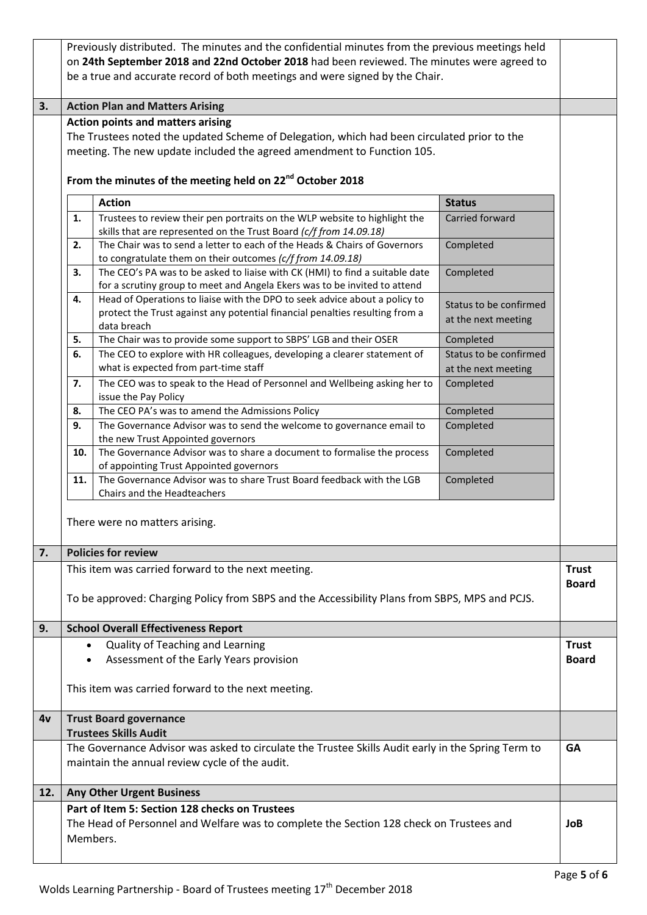|     | Previously distributed. The minutes and the confidential minutes from the previous meetings held |                                                                                                                                                           |                        |              |
|-----|--------------------------------------------------------------------------------------------------|-----------------------------------------------------------------------------------------------------------------------------------------------------------|------------------------|--------------|
|     | on 24th September 2018 and 22nd October 2018 had been reviewed. The minutes were agreed to       |                                                                                                                                                           |                        |              |
|     |                                                                                                  | be a true and accurate record of both meetings and were signed by the Chair.                                                                              |                        |              |
|     |                                                                                                  |                                                                                                                                                           |                        |              |
| 3.  |                                                                                                  | <b>Action Plan and Matters Arising</b>                                                                                                                    |                        |              |
|     |                                                                                                  | <b>Action points and matters arising</b><br>The Trustees noted the updated Scheme of Delegation, which had been circulated prior to the                   |                        |              |
|     |                                                                                                  | meeting. The new update included the agreed amendment to Function 105.                                                                                    |                        |              |
|     |                                                                                                  |                                                                                                                                                           |                        |              |
|     |                                                                                                  | From the minutes of the meeting held on 22 <sup>nd</sup> October 2018                                                                                     |                        |              |
|     |                                                                                                  |                                                                                                                                                           |                        |              |
|     |                                                                                                  | <b>Action</b>                                                                                                                                             | <b>Status</b>          |              |
|     | 1.                                                                                               | Trustees to review their pen portraits on the WLP website to highlight the<br>skills that are represented on the Trust Board (c/f from 14.09.18)          | Carried forward        |              |
|     | 2.                                                                                               | The Chair was to send a letter to each of the Heads & Chairs of Governors                                                                                 | Completed              |              |
|     |                                                                                                  | to congratulate them on their outcomes (c/f from 14.09.18)                                                                                                |                        |              |
|     | 3.                                                                                               | The CEO's PA was to be asked to liaise with CK (HMI) to find a suitable date<br>for a scrutiny group to meet and Angela Ekers was to be invited to attend | Completed              |              |
|     | 4.                                                                                               | Head of Operations to liaise with the DPO to seek advice about a policy to                                                                                |                        |              |
|     |                                                                                                  | protect the Trust against any potential financial penalties resulting from a                                                                              | Status to be confirmed |              |
|     |                                                                                                  | data breach                                                                                                                                               | at the next meeting    |              |
|     | 5.                                                                                               | The Chair was to provide some support to SBPS' LGB and their OSER                                                                                         | Completed              |              |
|     | 6.                                                                                               | The CEO to explore with HR colleagues, developing a clearer statement of                                                                                  | Status to be confirmed |              |
|     |                                                                                                  | what is expected from part-time staff                                                                                                                     | at the next meeting    |              |
|     | 7.                                                                                               | The CEO was to speak to the Head of Personnel and Wellbeing asking her to<br>issue the Pay Policy                                                         | Completed              |              |
|     | 8.                                                                                               | The CEO PA's was to amend the Admissions Policy                                                                                                           | Completed              |              |
|     | 9.                                                                                               | The Governance Advisor was to send the welcome to governance email to                                                                                     | Completed              |              |
|     |                                                                                                  | the new Trust Appointed governors                                                                                                                         |                        |              |
|     | 10.                                                                                              | The Governance Advisor was to share a document to formalise the process                                                                                   | Completed              |              |
|     |                                                                                                  | of appointing Trust Appointed governors<br>The Governance Advisor was to share Trust Board feedback with the LGB                                          |                        |              |
|     | 11.                                                                                              | Chairs and the Headteachers                                                                                                                               | Completed              |              |
|     |                                                                                                  |                                                                                                                                                           |                        |              |
|     |                                                                                                  | There were no matters arising.                                                                                                                            |                        |              |
|     |                                                                                                  |                                                                                                                                                           |                        |              |
| 7.  |                                                                                                  | <b>Policies for review</b>                                                                                                                                |                        |              |
|     |                                                                                                  | This item was carried forward to the next meeting.                                                                                                        |                        | <b>Trust</b> |
|     |                                                                                                  |                                                                                                                                                           |                        | <b>Board</b> |
|     |                                                                                                  | To be approved: Charging Policy from SBPS and the Accessibility Plans from SBPS, MPS and PCJS.                                                            |                        |              |
|     |                                                                                                  |                                                                                                                                                           |                        |              |
| 9.  |                                                                                                  | <b>School Overall Effectiveness Report</b><br>Quality of Teaching and Learning                                                                            |                        | <b>Trust</b> |
|     | $\bullet$<br>$\bullet$                                                                           | Assessment of the Early Years provision                                                                                                                   |                        | <b>Board</b> |
|     |                                                                                                  |                                                                                                                                                           |                        |              |
|     |                                                                                                  | This item was carried forward to the next meeting.                                                                                                        |                        |              |
|     |                                                                                                  |                                                                                                                                                           |                        |              |
| 4v  |                                                                                                  | <b>Trust Board governance</b>                                                                                                                             |                        |              |
|     |                                                                                                  | <b>Trustees Skills Audit</b>                                                                                                                              |                        |              |
|     |                                                                                                  | The Governance Advisor was asked to circulate the Trustee Skills Audit early in the Spring Term to                                                        |                        | <b>GA</b>    |
|     |                                                                                                  | maintain the annual review cycle of the audit.                                                                                                            |                        |              |
| 12. |                                                                                                  | <b>Any Other Urgent Business</b>                                                                                                                          |                        |              |
|     |                                                                                                  | Part of Item 5: Section 128 checks on Trustees                                                                                                            |                        |              |
|     |                                                                                                  | The Head of Personnel and Welfare was to complete the Section 128 check on Trustees and                                                                   |                        | JoB          |
|     | Members.                                                                                         |                                                                                                                                                           |                        |              |
|     |                                                                                                  |                                                                                                                                                           |                        |              |